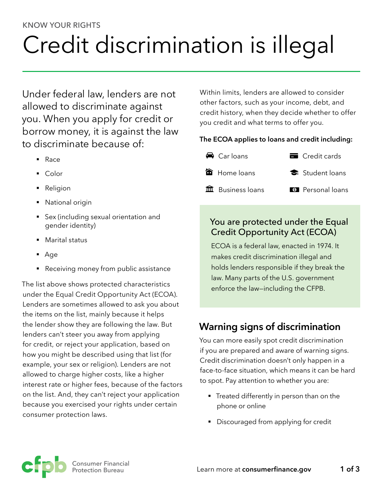#### KNOW YOUR RIGHTS

# Credit discrimination is illegal

Under federal law, lenders are not allowed to discriminate against you. When you apply for credit or borrow money, it is against the law to discriminate because of:

- § Race
- Color
- Religion
- National origin
- Sex (including sexual orientation and gender identity)
- Marital status
- Age
- Receiving money from public assistance

The list above shows protected characteristics under the Equal Credit Opportunity Act (ECOA). Lenders are sometimes allowed to ask you about the items on the list, mainly because it helps the lender show they are following the law. But lenders can't steer you away from applying for credit, or reject your application, based on how you might be described using that list (for example, your sex or religion). Lenders are not allowed to charge higher costs, like a higher interest rate or higher fees, because of the factors on the list. And, they can't reject your application because you exercised your rights under certain consumer protection laws.

Within limits, lenders are allowed to consider other factors, such as your income, debt, and credit history, when they decide whether to offer you credit and what terms to offer you.

#### **The ECOA applies to loans and credit including:**



#### You are protected under the Equal Credit Opportunity Act (ECOA)

ECOA is a federal law, enacted in 1974. It makes credit discrimination illegal and holds lenders responsible if they break the law. Many parts of the U.S. government enforce the law—including the CFPB.

## **Warning signs of discrimination**

You can more easily spot credit discrimination if you are prepared and aware of warning signs. Credit discrimination doesn't only happen in a face-to-face situation, which means it can be hard to spot. Pay attention to whether you are:

- **•** Treated differently in person than on the phone or online
- Discouraged from applying for credit

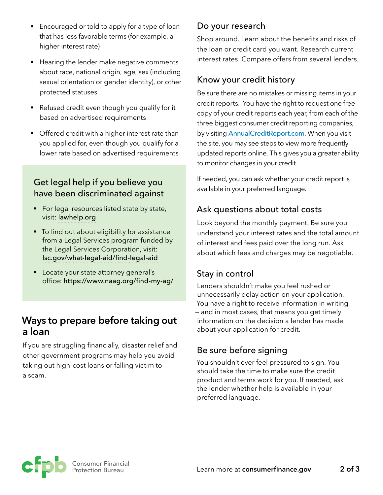- Encouraged or told to apply for a type of loan that has less favorable terms (for example, a higher interest rate)
- Hearing the lender make negative comments about race, national origin, age, sex (including sexual orientation or gender identity), or other protected statuses
- Refused credit even though you qualify for it based on advertised requirements
- Offered credit with a higher interest rate than you applied for, even though you qualify for a lower rate based on advertised requirements

### Get legal help if you believe you have been discriminated against

- For legal resources listed state by state, visit: [lawhelp.org](https://www.lawhelp.org)
- To find out about eligibility for assistance from a Legal Services program funded by the Legal Services Corporation, visit: [lsc.gov/what-legal-aid/find-legal-aid](https://www.lsc.gov/what-legal-aid/find-legal-aid)
- Locate your state attorney general's office: <https://www.naag.org/find-my-ag/>

## **Ways to prepare before taking out a loan**

If you are struggling financially, disaster relief and other government programs may help you avoid taking out high-cost loans or falling victim to a scam.

#### Do your research

Shop around. Learn about the benefits and risks of the loan or credit card you want. Research current interest rates. Compare offers from several lenders.

#### Know your credit history

Be sure there are no mistakes or missing items in your credit reports. You have the right to request one free copy of your credit reports each year, from each of the three biggest consumer credit reporting companies, by visiting **[AnnualCreditReport.com](http://AnnualCreditReport.com).** When you visit the site, you may see steps to view more frequently updated reports online. This gives you a greater ability to monitor changes in your credit.

If needed, you can ask whether your credit report is available in your preferred language.

## Ask questions about total costs

Look beyond the monthly payment. Be sure you understand your interest rates and the total amount of interest and fees paid over the long run. Ask about which fees and charges may be negotiable.

#### Stay in control

Lenders shouldn't make you feel rushed or unnecessarily delay action on your application. You have a right to receive information in writing — and in most cases, that means you get timely information on the decision a lender has made about your application for credit.

## Be sure before signing

You shouldn't ever feel pressured to sign. You should take the time to make sure the credit product and terms work for you. If needed, ask the lender whether help is available in your preferred language.